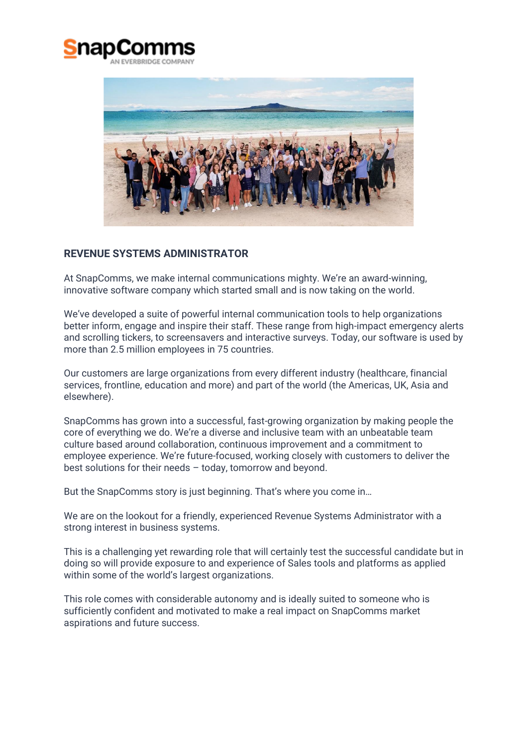



## **REVENUE SYSTEMS ADMINISTRATOR**

At SnapComms, we make internal communications mighty. We're an award-winning, innovative software company which started small and is now taking on the world.

We've developed a suite of powerful internal communication tools to help organizations better inform, engage and inspire their staff. These range from high-impact emergency alerts and scrolling tickers, to screensavers and interactive surveys. Today, our software is used by more than 2.5 million employees in 75 countries.

Our customers are large organizations from every different industry (healthcare, financial services, frontline, education and more) and part of the world (the Americas, UK, Asia and elsewhere).

SnapComms has grown into a successful, fast-growing organization by making people the core of everything we do. We're a diverse and inclusive team with an unbeatable team culture based around collaboration, continuous improvement and a commitment to employee experience. We're future-focused, working closely with customers to deliver the best solutions for their needs – today, tomorrow and beyond.

But the SnapComms story is just beginning. That's where you come in…

We are on the lookout for a friendly, experienced Revenue Systems Administrator with a strong interest in business systems.

This is a challenging yet rewarding role that will certainly test the successful candidate but in doing so will provide exposure to and experience of Sales tools and platforms as applied within some of the world's largest organizations.

This role comes with considerable autonomy and is ideally suited to someone who is sufficiently confident and motivated to make a real impact on SnapComms market aspirations and future success.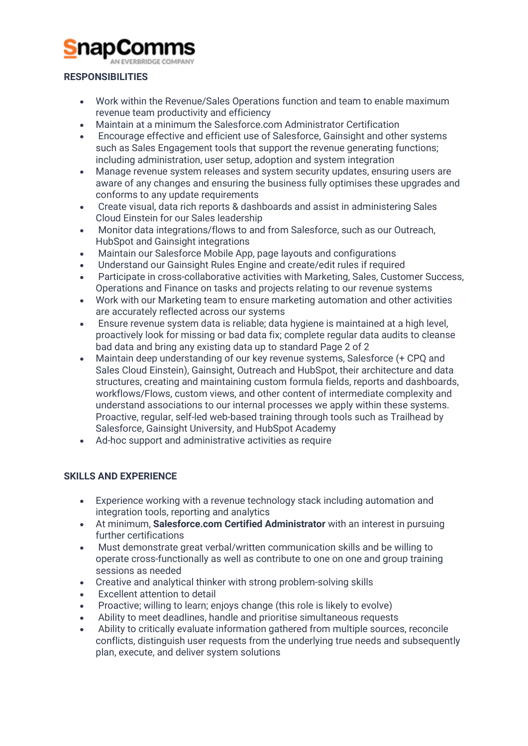# inar

#### **RESPONSIBILITIES**

- Work within the Revenue/Sales Operations function and team to enable maximum revenue team productivity and efficiency
- Maintain at a minimum the Salesforce.com Administrator Certification
- Encourage effective and efficient use of Salesforce, Gainsight and other systems such as Sales Engagement tools that support the revenue generating functions; including administration, user setup, adoption and system integration
- Manage revenue system releases and system security updates, ensuring users are aware of any changes and ensuring the business fully optimises these upgrades and conforms to any update requirements
- Create visual, data rich reports & dashboards and assist in administering Sales Cloud Einstein for our Sales leadership
- Monitor data integrations/flows to and from Salesforce, such as our Outreach, HubSpot and Gainsight integrations
- Maintain our Salesforce Mobile App, page layouts and configurations
- Understand our Gainsight Rules Engine and create/edit rules if required
- Participate in cross-collaborative activities with Marketing, Sales, Customer Success, Operations and Finance on tasks and projects relating to our revenue systems
- Work with our Marketing team to ensure marketing automation and other activities are accurately reflected across our systems
- Ensure revenue system data is reliable; data hygiene is maintained at a high level, proactively look for missing or bad data fix; complete regular data audits to cleanse bad data and bring any existing data up to standard Page 2 of 2
- Maintain deep understanding of our key revenue systems, Salesforce (+ CPQ and Sales Cloud Einstein), Gainsight, Outreach and HubSpot, their architecture and data structures, creating and maintaining custom formula fields, reports and dashboards, workflows/Flows, custom views, and other content of intermediate complexity and understand associations to our internal processes we apply within these systems. Proactive, regular, self-led web-based training through tools such as Trailhead by Salesforce, Gainsight University, and HubSpot Academy
- Ad-hoc support and administrative activities as require

## **SKILLS AND EXPERIENCE**

- Experience working with a revenue technology stack including automation and integration tools, reporting and analytics
- At minimum, **Salesforce.com Certified Administrator** with an interest in pursuing further certifications
- Must demonstrate great verbal/written communication skills and be willing to operate cross-functionally as well as contribute to one on one and group training sessions as needed
- Creative and analytical thinker with strong problem-solving skills
- Excellent attention to detail
- Proactive; willing to learn; enjoys change (this role is likely to evolve)
- Ability to meet deadlines, handle and prioritise simultaneous requests
- Ability to critically evaluate information gathered from multiple sources, reconcile conflicts, distinguish user requests from the underlying true needs and subsequently plan, execute, and deliver system solutions